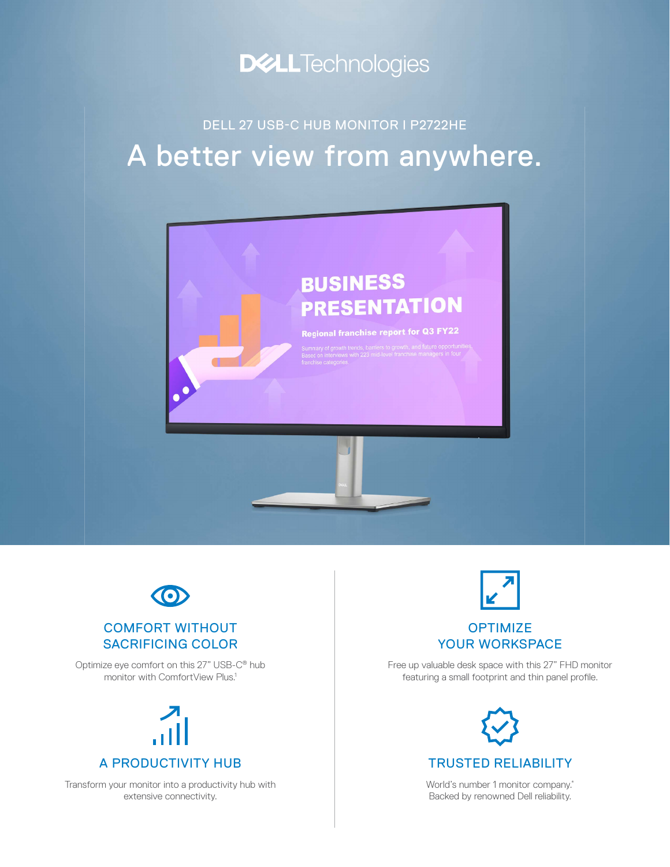

## A better view from anywhere. DELL 27 USB-C HUB MONITOR I P2722HE





#### COMFORT WITHOUT SACRIFICING COLOR

Optimize eye comfort on this 27" USB-C® hub monitor with ComfortView Plus.<sup>1</sup>

# A PRODUCTIVITY HUB

Transform your monitor into a productivity hub with extensive connectivity.

# **OPTIMIZE**

### YOUR WORKSPACE

Free up valuable desk space with this 27" FHD monitor featuring a small footprint and thin panel profile.



World's number 1 monitor company.<sup>\*</sup> Backed by renowned Dell reliability.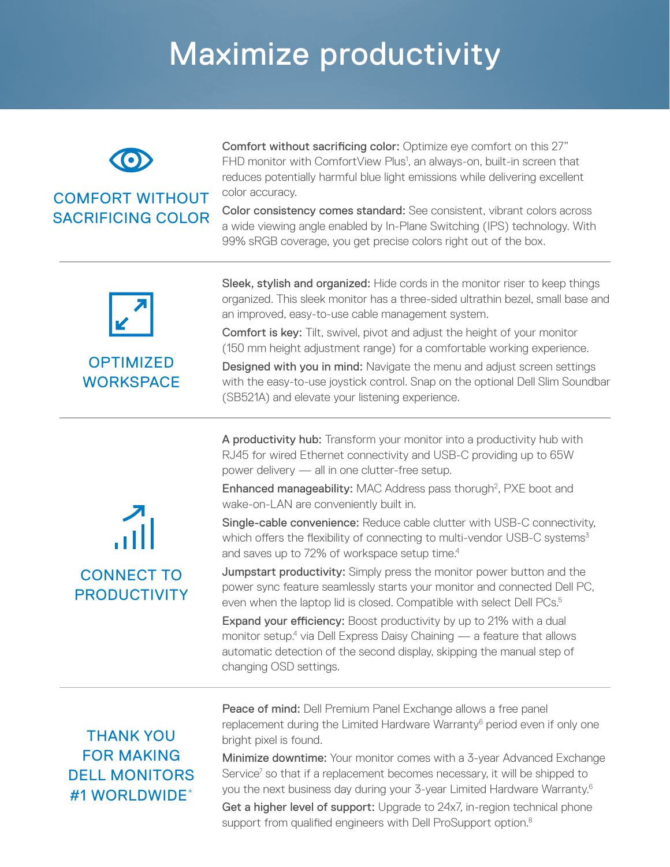## Maximize productivity



#### COMFORT WITHOUT SACRIFICING COLOR

Comfort without sacrificing color: Optimize eye comfort on this 27" FHD monitor with ComfortView Plus<sup>1</sup>, an always-on, built-in screen that reduces potentially harmful blue light emissions while delivering excellent color accuracy.

Color consistency comes standard: See consistent, vibrant colors across a wide viewing angle enabled by In-Plane Switching (IPS) technology. With 99% sRGB coverage, you get precise colors right out of the box.



#### **OPTIMIZED WORKSPACE**

Sleek, stylish and organized: Hide cords in the monitor riser to keep things organized. This sleek monitor has a three-sided ultrathin bezel, small base and an improved, easy-to-use cable management system.

Comfort is key: Tilt, swivel, pivot and adjust the height of your monitor (150 mm height adjustment range) for a comfortable working experience.

Designed with you in mind: Navigate the menu and adjust screen settings with the easy-to-use joystick control. Snap on the optional Dell Slim Soundbar (SB521A) and elevate your listening experience.

A productivity hub: Transform your monitor into a productivity hub with RJ45 for wired Ethernet connectivity and USB-C providing up to 65W power delivery — all in one clutter-free setup.

Enhanced manageability: MAC Address pass thorugh<sup>2</sup>, PXE boot and wake-on-LAN are conveniently built in.

Single-cable convenience: Reduce cable clutter with USB-C connectivity, which offers the flexibility of connecting to multi-vendor USB-C systems<sup>3</sup> and saves up to 72% of workspace setup time.<sup>4</sup>

Jumpstart productivity: Simply press the monitor power button and the power sync feature seamlessly starts your monitor and connected Dell PC, even when the laptop lid is closed. Compatible with select Dell PCs.<sup>5</sup>

Expand your efficiency: Boost productivity by up to 21% with a dual monitor setup.<sup>4</sup> via Dell Express Daisy Chaining — a feature that allows automatic detection of the second display, skipping the manual step of changing OSD settings.

### THANK YOU FOR MAKING DELL MONITORS #1 WORLDWIDE\*

Peace of mind: Dell Premium Panel Exchange allows a free panel replacement during the Limited Hardware Warranty<sup>6</sup> period even if only one bright pixel is found.

Minimize downtime: Your monitor comes with a 3-year Advanced Exchange Service<sup>7</sup> so that if a replacement becomes necessary, it will be shipped to you the next business day during your 3-year Limited Hardware Warranty.6 Get a higher level of support: Upgrade to 24x7, in-region technical phone support from qualified engineers with Dell ProSupport option.<sup>8</sup>

## $\frac{2}{\sqrt{1}}$ CONNECT TO **PRODUCTIVITY**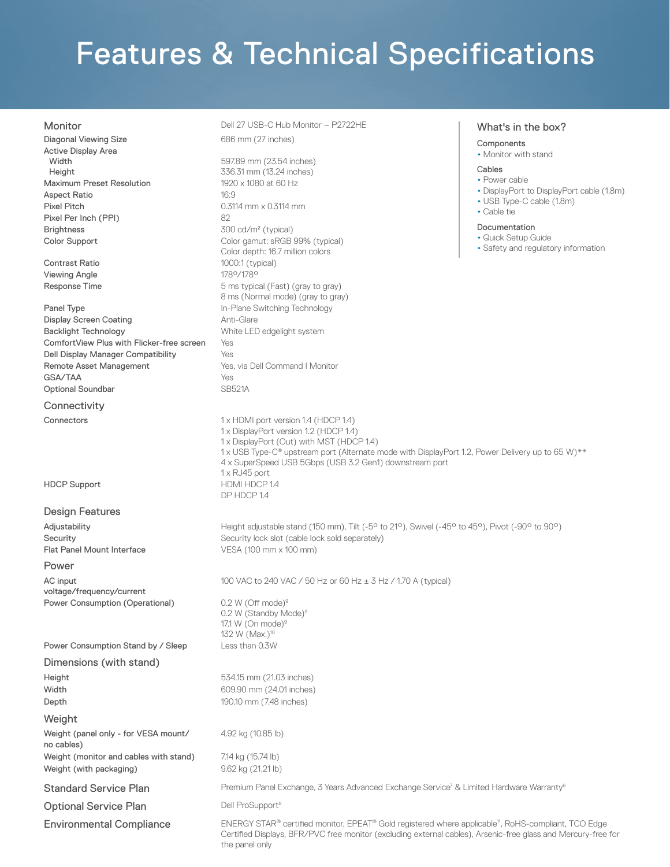## Features & Technical Specifications

| Monitor |  |  |  |
|---------|--|--|--|
|         |  |  |  |

| Monitor                                    | Dell 27 USB-C Hub Monitor - P2722HE                                                                                                                                                                                                                                                                         | What's in the box?                                         |  |  |  |
|--------------------------------------------|-------------------------------------------------------------------------------------------------------------------------------------------------------------------------------------------------------------------------------------------------------------------------------------------------------------|------------------------------------------------------------|--|--|--|
| Diagonal Viewing Size                      | 686 mm (27 inches)                                                                                                                                                                                                                                                                                          | Components                                                 |  |  |  |
| <b>Active Display Area</b>                 |                                                                                                                                                                                                                                                                                                             | • Monitor with stand                                       |  |  |  |
| Width                                      | 597.89 mm (23.54 inches)                                                                                                                                                                                                                                                                                    | Cables                                                     |  |  |  |
| Height<br><b>Maximum Preset Resolution</b> | 336.31 mm (13.24 inches)<br>1920 x 1080 at 60 Hz                                                                                                                                                                                                                                                            | • Power cable                                              |  |  |  |
| <b>Aspect Ratio</b>                        | 16:9                                                                                                                                                                                                                                                                                                        | • DisplayPort to DisplayPort cable (1.8m)                  |  |  |  |
| <b>Pixel Pitch</b>                         | $0.3114$ mm $\times$ 0.3114 mm                                                                                                                                                                                                                                                                              | • USB Type-C cable (1.8m)                                  |  |  |  |
| Pixel Per Inch (PPI)                       | 82                                                                                                                                                                                                                                                                                                          | • Cable tie                                                |  |  |  |
| <b>Brightness</b>                          | Documentation<br>300 cd/m <sup>2</sup> (typical)                                                                                                                                                                                                                                                            |                                                            |  |  |  |
| Color Support                              | Color gamut: sRGB 99% (typical)<br>Color depth: 16.7 million colors                                                                                                                                                                                                                                         | • Quick Setup Guide<br>• Safety and regulatory information |  |  |  |
| Contrast Ratio                             | 1000:1 (typical)                                                                                                                                                                                                                                                                                            |                                                            |  |  |  |
| <b>Viewing Angle</b>                       | 178°/178°                                                                                                                                                                                                                                                                                                   |                                                            |  |  |  |
| Response Time                              | 5 ms typical (Fast) (gray to gray)<br>8 ms (Normal mode) (gray to gray)                                                                                                                                                                                                                                     |                                                            |  |  |  |
| Panel Type                                 | In-Plane Switching Technology                                                                                                                                                                                                                                                                               |                                                            |  |  |  |
| <b>Display Screen Coating</b>              | Anti-Glare                                                                                                                                                                                                                                                                                                  |                                                            |  |  |  |
| <b>Backlight Technology</b>                | White LED edgelight system                                                                                                                                                                                                                                                                                  |                                                            |  |  |  |
| ComfortView Plus with Flicker-free screen  | Yes                                                                                                                                                                                                                                                                                                         |                                                            |  |  |  |
| Dell Display Manager Compatibility         | Yes                                                                                                                                                                                                                                                                                                         |                                                            |  |  |  |
| Remote Asset Management                    | Yes, via Dell Command   Monitor                                                                                                                                                                                                                                                                             |                                                            |  |  |  |
| GSA/TAA<br><b>Optional Soundbar</b>        | Yes                                                                                                                                                                                                                                                                                                         |                                                            |  |  |  |
|                                            | <b>SB521A</b>                                                                                                                                                                                                                                                                                               |                                                            |  |  |  |
| Connectivity                               |                                                                                                                                                                                                                                                                                                             |                                                            |  |  |  |
| Connectors                                 | 1 x HDMI port version 1.4 (HDCP 1.4)<br>1 x DisplayPort version 1.2 (HDCP 1.4)<br>1 x DisplayPort (Out) with MST (HDCP 1.4)<br>1 x USB Type-C® upstream port (Alternate mode with DisplayPort 1.2, Power Delivery up to 65 W)**<br>4 x SuperSpeed USB 5Gbps (USB 3.2 Gen1) downstream port<br>1 x RJ45 port |                                                            |  |  |  |
| <b>HDCP Support</b>                        | HDMI HDCP 1.4<br>DP HDCP 1.4                                                                                                                                                                                                                                                                                |                                                            |  |  |  |
| <b>Design Features</b>                     |                                                                                                                                                                                                                                                                                                             |                                                            |  |  |  |
| Adjustability                              | Height adjustable stand (150 mm), Tilt (-5° to 21°), Swivel (-45° to 45°), Pivot (-90° to 90°)                                                                                                                                                                                                              |                                                            |  |  |  |
| Security                                   | Security lock slot (cable lock sold separately)                                                                                                                                                                                                                                                             |                                                            |  |  |  |
| <b>Flat Panel Mount Interface</b>          | VESA (100 mm x 100 mm)                                                                                                                                                                                                                                                                                      |                                                            |  |  |  |
| Power                                      |                                                                                                                                                                                                                                                                                                             |                                                            |  |  |  |
| AC input                                   | 100 VAC to 240 VAC / 50 Hz or 60 Hz ± 3 Hz / 1.70 A (typical)                                                                                                                                                                                                                                               |                                                            |  |  |  |
| voltage/frequency/current                  |                                                                                                                                                                                                                                                                                                             |                                                            |  |  |  |
| Power Consumption (Operational)            | $0.2$ W (Off mode) <sup>9</sup><br>0.2 W (Standby Mode) <sup>9</sup><br>17.1 W (On mode) $9$<br>132 W (Max.) <sup>10</sup>                                                                                                                                                                                  |                                                            |  |  |  |
| Power Consumption Stand by / Sleep         | Less than 0.3W                                                                                                                                                                                                                                                                                              |                                                            |  |  |  |
| Dimensions (with stand)                    |                                                                                                                                                                                                                                                                                                             |                                                            |  |  |  |
| Height                                     | 534.15 mm (21.03 inches)                                                                                                                                                                                                                                                                                    |                                                            |  |  |  |
| Width                                      | 609.90 mm (24.01 inches)                                                                                                                                                                                                                                                                                    |                                                            |  |  |  |
| Depth                                      | 190.10 mm (7.48 inches)                                                                                                                                                                                                                                                                                     |                                                            |  |  |  |
| Weight                                     |                                                                                                                                                                                                                                                                                                             |                                                            |  |  |  |
| Weight (panel only - for VESA mount/       | 4.92 kg (10.85 lb)                                                                                                                                                                                                                                                                                          |                                                            |  |  |  |
| no cables)                                 |                                                                                                                                                                                                                                                                                                             |                                                            |  |  |  |
| Weight (monitor and cables with stand)     | 7.14 kg (15.74 lb)                                                                                                                                                                                                                                                                                          |                                                            |  |  |  |
| Weight (with packaging)                    | 9.62 kg (21.21 lb)                                                                                                                                                                                                                                                                                          |                                                            |  |  |  |
| <b>Standard Service Plan</b>               | Premium Panel Exchange, 3 Years Advanced Exchange Service <sup>7</sup> & Limited Hardware Warranty <sup>6</sup>                                                                                                                                                                                             |                                                            |  |  |  |
| <b>Optional Service Plan</b>               | Dell ProSupport <sup>8</sup>                                                                                                                                                                                                                                                                                |                                                            |  |  |  |
| <b>Environmental Compliance</b>            | ENERGY STAR® certified monitor, EPEAT® Gold registered where applicable <sup>11</sup> , RoHS-compliant, TCO Edge<br>Certified Displays, BFR/PVC free monitor (excluding external cables), Arsenic-free glass and Mercury-free for<br>the panel only                                                         |                                                            |  |  |  |